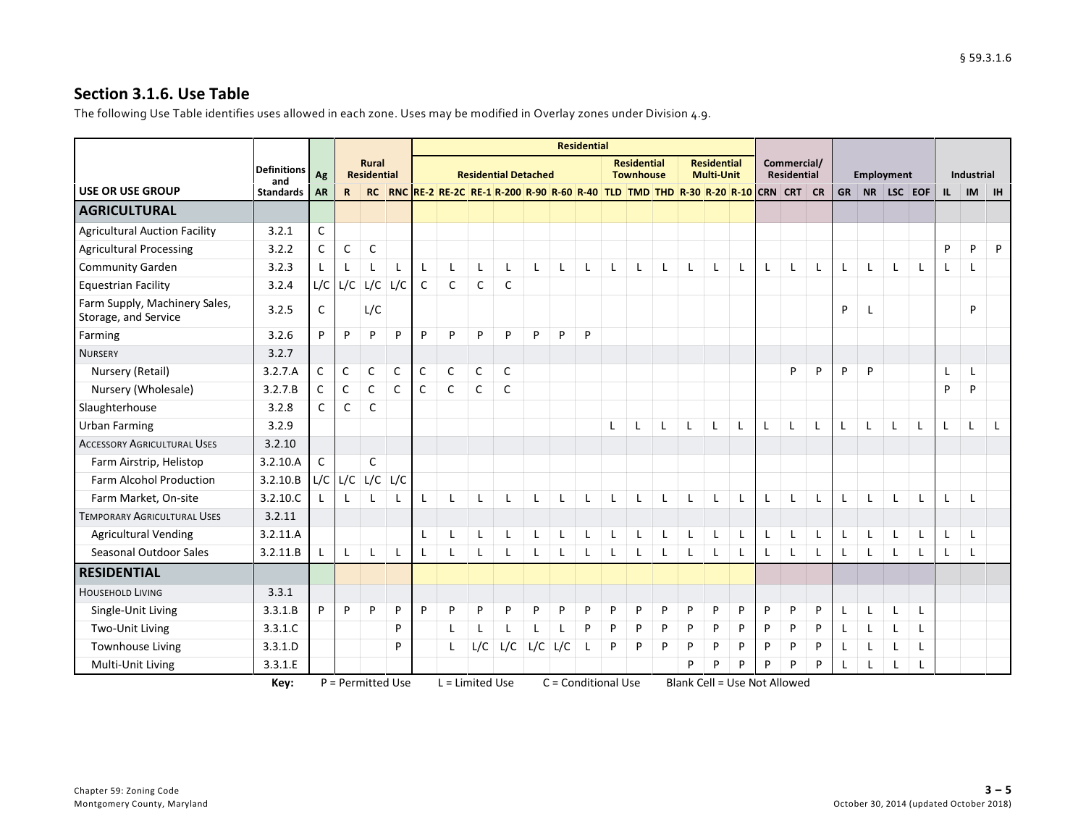## **Section 3.1.6. Use Table**

The following Use Table identifies uses allowed in each zone. Uses may be modified in Overlay zones under Division 4.9.

|                                                       |                         |                 |              |                          |              |              |                                                                                |              |                             |              |     | <b>Residential</b> |                     |                    |   |                                     |                    |              |              |                    |   |              |    |                   |           |              |                         |           |
|-------------------------------------------------------|-------------------------|-----------------|--------------|--------------------------|--------------|--------------|--------------------------------------------------------------------------------|--------------|-----------------------------|--------------|-----|--------------------|---------------------|--------------------|---|-------------------------------------|--------------------|--------------|--------------|--------------------|---|--------------|----|-------------------|-----------|--------------|-------------------------|-----------|
|                                                       | <b>Definitions</b>      |                 |              | <b>Rural</b>             |              |              |                                                                                |              | <b>Residential Detached</b> |              |     |                    |                     | <b>Residential</b> |   |                                     | <b>Residential</b> |              |              | Commercial/        |   |              |    |                   |           |              |                         |           |
| <b>USE OR USE GROUP</b>                               | and<br><b>Standards</b> | Ag<br><b>AR</b> | $\mathsf{R}$ | <b>Residential</b><br>RC |              |              | RNC RE-2 RE-2C RE-1 R-200 R-20 R-60 R-40 TLD TMD THD R-30 R-20 R-10 CRN CRT CR |              |                             |              |     |                    |                     | <b>Townhouse</b>   |   |                                     | <b>Multi-Unit</b>  |              |              | <b>Residential</b> |   | <b>GR</b>    | NR | <b>Employment</b> | $LSC$ EOF | $\mathbf{u}$ | Industrial<br><b>IM</b> | <b>IH</b> |
| <b>AGRICULTURAL</b>                                   |                         |                 |              |                          |              |              |                                                                                |              |                             |              |     |                    |                     |                    |   |                                     |                    |              |              |                    |   |              |    |                   |           |              |                         |           |
|                                                       |                         |                 |              |                          |              |              |                                                                                |              |                             |              |     |                    |                     |                    |   |                                     |                    |              |              |                    |   |              |    |                   |           |              |                         |           |
| <b>Agricultural Auction Facility</b>                  | 3.2.1                   | $\mathsf C$     |              |                          |              |              |                                                                                |              |                             |              |     |                    |                     |                    |   |                                     |                    |              |              |                    |   |              |    |                   |           |              |                         |           |
| <b>Agricultural Processing</b>                        | 3.2.2                   | $\mathsf C$     | $\mathsf C$  | C                        |              |              |                                                                                |              |                             |              |     |                    |                     |                    |   |                                     |                    |              |              |                    |   |              |    |                   |           | P            | P                       | P         |
| <b>Community Garden</b>                               | 3.2.3                   |                 |              |                          |              | L            | L                                                                              | L            | -1                          | $\mathsf{L}$ | L   | L                  |                     |                    | L | L                                   | L                  | L            | L            | $\mathbf{I}$       | L | L            |    | L                 |           |              |                         |           |
| <b>Equestrian Facility</b>                            | 3.2.4                   | L/C             | L/C          | L/C                      | L/C          | $\mathsf{C}$ | $\mathsf{C}$                                                                   | $\mathsf{C}$ | $\mathsf{C}$                |              |     |                    |                     |                    |   |                                     |                    |              |              |                    |   |              |    |                   |           |              |                         |           |
| Farm Supply, Machinery Sales,<br>Storage, and Service | 3.2.5                   | $\mathsf{C}$    |              | L/C                      |              |              |                                                                                |              |                             |              |     |                    |                     |                    |   |                                     |                    |              |              |                    |   | P            |    |                   |           |              | P                       |           |
| Farming                                               | 3.2.6                   | P               | P            | P                        | P            | P            | P                                                                              | P            | P                           | P            | P   | P                  |                     |                    |   |                                     |                    |              |              |                    |   |              |    |                   |           |              |                         |           |
| <b>NURSERY</b>                                        | 3.2.7                   |                 |              |                          |              |              |                                                                                |              |                             |              |     |                    |                     |                    |   |                                     |                    |              |              |                    |   |              |    |                   |           |              |                         |           |
| Nursery (Retail)                                      | 3.2.7.A                 | C               | $\mathsf{C}$ | $\mathsf{C}$             | C            | C            | $\mathsf{C}$                                                                   | C            | $\mathsf{C}$                |              |     |                    |                     |                    |   |                                     |                    |              |              | P                  | P | P            | P  |                   |           |              |                         |           |
| Nursery (Wholesale)                                   | 3.2.7.B                 | $\mathsf{C}$    | $\mathsf{C}$ | $\mathsf{C}$             | $\mathsf{C}$ | $\mathsf{C}$ | $\mathsf{C}$                                                                   | $\mathsf{C}$ | $\mathsf{C}$                |              |     |                    |                     |                    |   |                                     |                    |              |              |                    |   |              |    |                   |           | P            | P                       |           |
| Slaughterhouse                                        | 3.2.8                   | $\mathsf{C}$    | C            | C                        |              |              |                                                                                |              |                             |              |     |                    |                     |                    |   |                                     |                    |              |              |                    |   |              |    |                   |           |              |                         |           |
| <b>Urban Farming</b>                                  | 3.2.9                   |                 |              |                          |              |              |                                                                                |              |                             |              |     |                    | L                   | L                  |   |                                     |                    |              |              |                    | L | L            |    |                   |           | L            |                         |           |
| <b>ACCESSORY AGRICULTURAL USES</b>                    | 3.2.10                  |                 |              |                          |              |              |                                                                                |              |                             |              |     |                    |                     |                    |   |                                     |                    |              |              |                    |   |              |    |                   |           |              |                         |           |
| Farm Airstrip, Helistop                               | 3.2.10.A                | C               |              | $\mathsf{C}$             |              |              |                                                                                |              |                             |              |     |                    |                     |                    |   |                                     |                    |              |              |                    |   |              |    |                   |           |              |                         |           |
| <b>Farm Alcohol Production</b>                        | 3.2.10.B                |                 |              | $L/C$ $L/C$ $L/C$        | L/C          |              |                                                                                |              |                             |              |     |                    |                     |                    |   |                                     |                    |              |              |                    |   |              |    |                   |           |              |                         |           |
| Farm Market, On-site                                  | 3.2.10.C                |                 | $\mathbf{I}$ |                          |              | L            | $\mathbf{I}$                                                                   | L            | $\blacksquare$              | $\mathbf{I}$ | L   | L                  |                     | T                  |   | L                                   | L                  | L            | $\mathsf{L}$ | $\mathsf{L}$       | L | $\mathsf{L}$ | L  | L                 |           | $\mathbf{I}$ |                         |           |
| <b>TEMPORARY AGRICULTURAL USES</b>                    | 3.2.11                  |                 |              |                          |              |              |                                                                                |              |                             |              |     |                    |                     |                    |   |                                     |                    |              |              |                    |   |              |    |                   |           |              |                         |           |
| <b>Agricultural Vending</b>                           | 3.2.11.A                |                 |              |                          |              | L            |                                                                                | L            |                             | $\mathbf{I}$ | L   | L                  |                     | L                  | L | L                                   |                    | L            | L            | L                  | L | L            |    | L                 |           |              |                         |           |
| Seasonal Outdoor Sales                                | 3.2.11.B                |                 | $\mathsf{L}$ |                          | $\mathsf{L}$ | L            | L                                                                              | L            | L                           | $\mathbf{I}$ | L   | L                  |                     |                    |   | L                                   |                    | $\mathsf{L}$ | $\mathsf{L}$ | $\mathsf{L}$       | L | $\mathsf{L}$ | L  | L                 |           | $\mathsf{L}$ |                         |           |
| <b>RESIDENTIAL</b>                                    |                         |                 |              |                          |              |              |                                                                                |              |                             |              |     |                    |                     |                    |   |                                     |                    |              |              |                    |   |              |    |                   |           |              |                         |           |
| <b>HOUSEHOLD LIVING</b>                               | 3.3.1                   |                 |              |                          |              |              |                                                                                |              |                             |              |     |                    |                     |                    |   |                                     |                    |              |              |                    |   |              |    |                   |           |              |                         |           |
| Single-Unit Living                                    | 3.3.1.B                 | P               | P            | P                        | P            | P            | P                                                                              | P            | D                           | P            | P   | P                  | P                   | P                  | P | P                                   | P                  | P            | P            | P                  | P | $\mathsf{L}$ | L  | L                 | L         |              |                         |           |
| Two-Unit Living                                       | 3.3.1.C                 |                 |              |                          | P            |              | L                                                                              | L            | $\mathbf{I}$                | $\mathbf{I}$ |     | P                  | P                   | P                  | P | P                                   | P                  | P            | P            | P                  | P | L            | L  | L                 |           |              |                         |           |
| <b>Townhouse Living</b>                               | 3.3.1.D                 |                 |              |                          | P            |              | L                                                                              | L/C          | L/C                         | L/C          | L/C | L                  | P                   | P                  | P | P                                   | P                  | P            | P            | P                  | P | L            |    | L                 |           |              |                         |           |
| Multi-Unit Living                                     | 3.3.1.E                 |                 |              |                          |              |              |                                                                                |              |                             |              |     |                    |                     |                    |   | P                                   | P                  | P            | P            | P                  | P | L            | L  |                   |           |              |                         |           |
|                                                       | Key:                    |                 |              | P = Permitted Use        |              |              | $L =$ Limited Use                                                              |              |                             |              |     |                    | C = Conditional Use |                    |   | <b>Blank Cell = Use Not Allowed</b> |                    |              |              |                    |   |              |    |                   |           |              |                         |           |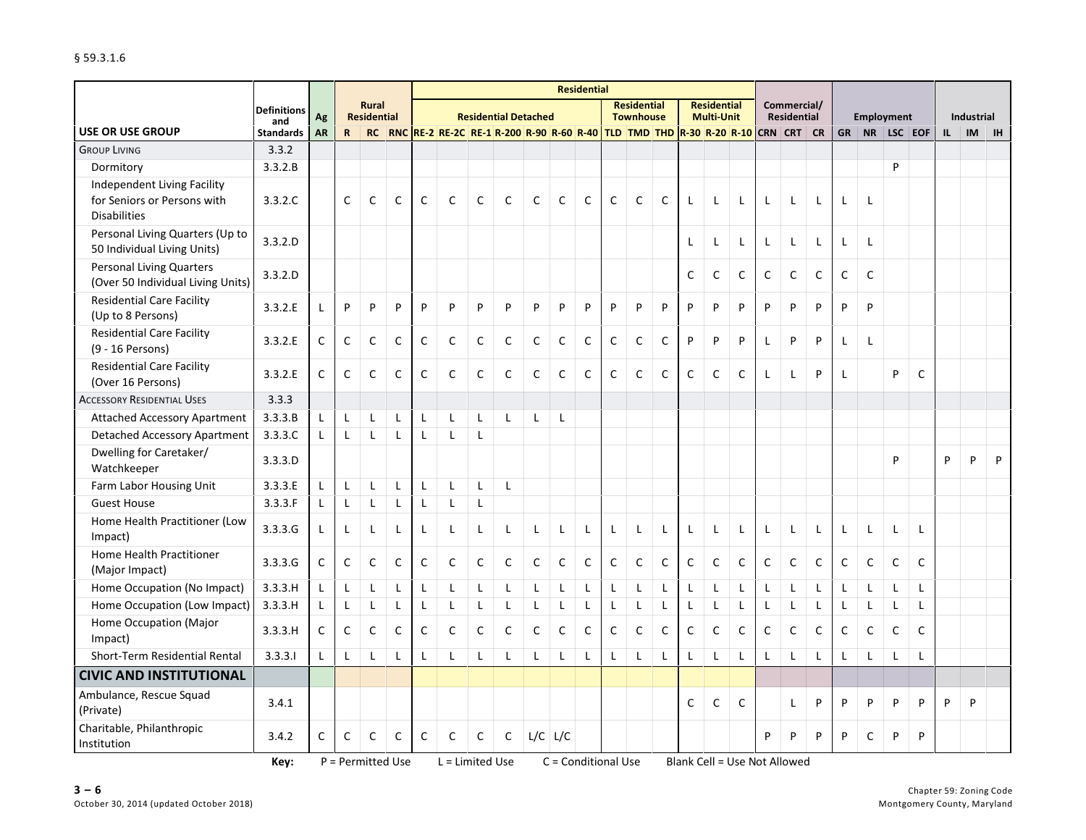|                                                                      |                         |              |              |                             |              |              |                                                                                                                        |              |                             |              |              | <b>Residential</b>  |              |                                        |              |              |                                         |              |              |                                   |              |              |                   |              |              |              |            |           |
|----------------------------------------------------------------------|-------------------------|--------------|--------------|-----------------------------|--------------|--------------|------------------------------------------------------------------------------------------------------------------------|--------------|-----------------------------|--------------|--------------|---------------------|--------------|----------------------------------------|--------------|--------------|-----------------------------------------|--------------|--------------|-----------------------------------|--------------|--------------|-------------------|--------------|--------------|--------------|------------|-----------|
|                                                                      | <b>Definitions</b>      | Ag           |              | Rural<br><b>Residential</b> |              |              |                                                                                                                        |              | <b>Residential Detached</b> |              |              |                     |              | <b>Residential</b><br><b>Townhouse</b> |              |              | <b>Residential</b><br><b>Multi-Unit</b> |              |              | Commercial/<br><b>Residential</b> |              |              | <b>Employment</b> |              |              |              | Industrial |           |
| <b>USE OR USE GROUP</b>                                              | and<br><b>Standards</b> | <b>AR</b>    | $\mathbf R$  | <b>RC</b>                   |              |              | RNC <mark>  RE-2   RE-2C   RE-1   R-200   R-90   R-60   R-40   TLD   TMD   THD   R-30   R-20   R-10  </mark> CRN   CRT |              |                             |              |              |                     |              |                                        |              |              |                                         |              |              |                                   | <b>CR</b>    | <b>GR</b>    | <b>NR</b>         |              | $LSC$ EOF    | $\mathbf{L}$ | <b>IM</b>  | <b>IH</b> |
| <b>GROUP LIVING</b>                                                  | 3.3.2                   |              |              |                             |              |              |                                                                                                                        |              |                             |              |              |                     |              |                                        |              |              |                                         |              |              |                                   |              |              |                   |              |              |              |            |           |
| Dormitory                                                            | 3.3.2.B                 |              |              |                             |              |              |                                                                                                                        |              |                             |              |              |                     |              |                                        |              |              |                                         |              |              |                                   |              |              |                   | P            |              |              |            |           |
| Independent Living Facility                                          |                         |              |              |                             |              |              |                                                                                                                        |              |                             |              |              |                     |              |                                        |              |              |                                         |              |              |                                   |              |              |                   |              |              |              |            |           |
| for Seniors or Persons with<br><b>Disabilities</b>                   | 3.3.2.C                 |              | C            | C                           | C            | C            | $\mathsf{C}$                                                                                                           | $\mathsf{C}$ | $\mathsf{C}$                | $\mathsf{C}$ | $\mathsf{C}$ | $\mathsf{C}$        | C            | $\mathsf{C}$                           | $\mathsf{C}$ | L            | $\mathsf{L}$                            | $\mathsf{L}$ | L            | L                                 | L            | L            | L                 |              |              |              |            |           |
| Personal Living Quarters (Up to<br>50 Individual Living Units)       | 3.3.2.D                 |              |              |                             |              |              |                                                                                                                        |              |                             |              |              |                     |              |                                        |              | L            | L                                       | L            | L            | Г                                 | L            | L            | L                 |              |              |              |            |           |
| <b>Personal Living Quarters</b><br>(Over 50 Individual Living Units) | 3.3.2.D                 |              |              |                             |              |              |                                                                                                                        |              |                             |              |              |                     |              |                                        |              | $\mathsf C$  | $\mathsf C$                             | $\mathsf C$  | $\mathsf C$  | $\mathsf C$                       | $\mathsf C$  | $\mathsf C$  | $\mathsf{C}$      |              |              |              |            |           |
| <b>Residential Care Facility</b><br>(Up to 8 Persons)                | 3.3.2.E                 | L            | P            | P                           | P            | P            | P                                                                                                                      | P            | P                           | P            | P            | P                   | P            | P                                      | P            | P            | P                                       | P            | P            | P                                 | P            | P            | P                 |              |              |              |            |           |
| <b>Residential Care Facility</b><br>(9 - 16 Persons)                 | 3.3.2.E                 | C            | C            | $\mathsf{C}$                | $\mathsf{C}$ | $\mathsf{C}$ | $\mathsf{C}$                                                                                                           | $\mathsf{C}$ | $\mathsf{C}$                | $\mathsf{C}$ | $\mathsf C$  | $\mathsf{C}$        | $\mathsf C$  | $\mathsf{C}$                           | $\mathsf{C}$ | P            | P                                       | P            | L            | P                                 | P            | L            | L                 |              |              |              |            |           |
| <b>Residential Care Facility</b><br>(Over 16 Persons)                | 3.3.2.E                 | C            | $\mathsf{C}$ | $\mathsf{C}$                | $\mathsf{C}$ | $\mathsf{C}$ | $\mathsf{C}$                                                                                                           | $\mathsf{C}$ | $\mathsf{C}$                | $\mathsf{C}$ | $\mathsf{C}$ | $\mathsf{C}$        | C            | $\mathsf{C}$                           | $\mathsf{C}$ | $\mathsf{C}$ | C                                       | C            | L            | L                                 | P            | L            |                   | P            | $\mathsf{C}$ |              |            |           |
| <b>ACCESSORY RESIDENTIAL USES</b>                                    | 3.3.3                   |              |              |                             |              |              |                                                                                                                        |              |                             |              |              |                     |              |                                        |              |              |                                         |              |              |                                   |              |              |                   |              |              |              |            |           |
| <b>Attached Accessory Apartment</b>                                  | 3.3.3.B                 | L            | $\mathsf{L}$ | L                           | L            | $\mathsf L$  | L                                                                                                                      | $\mathsf{L}$ | $\mathsf{L}$                | L            | L            |                     |              |                                        |              |              |                                         |              |              |                                   |              |              |                   |              |              |              |            |           |
| <b>Detached Accessory Apartment</b>                                  | 3.3.3.C                 | $\mathbf{I}$ | $\mathsf{L}$ | L                           | L            | $\mathsf L$  | $\mathsf{L}$                                                                                                           | $\mathsf{L}$ |                             |              |              |                     |              |                                        |              |              |                                         |              |              |                                   |              |              |                   |              |              |              |            |           |
| Dwelling for Caretaker/<br>Watchkeeper                               | 3.3.3.D                 |              |              |                             |              |              |                                                                                                                        |              |                             |              |              |                     |              |                                        |              |              |                                         |              |              |                                   |              |              |                   | P            |              | P            | P          | P         |
| Farm Labor Housing Unit                                              | 3.3.3.E                 | $\mathsf{L}$ | L            | L                           | L            | $\mathsf{L}$ | Г                                                                                                                      | L            | $\mathsf{L}$                |              |              |                     |              |                                        |              |              |                                         |              |              |                                   |              |              |                   |              |              |              |            |           |
| <b>Guest House</b>                                                   | 3.3.3.F                 | L            | L            | L                           | L            | L            | L                                                                                                                      | L            |                             |              |              |                     |              |                                        |              |              |                                         |              |              |                                   |              |              |                   |              |              |              |            |           |
| Home Health Practitioner (Low<br>Impact)                             | 3.3.3.G                 | L            | L            | L                           | L            | L            | L                                                                                                                      | $\mathsf{L}$ | L                           | L            | $\mathsf{L}$ | L                   | $\mathbf{I}$ | L                                      | $\mathsf{L}$ | L            | L                                       | L            | L            | L                                 | $\mathsf{L}$ | L            | L                 | L            | $\mathsf{L}$ |              |            |           |
| <b>Home Health Practitioner</b><br>(Major Impact)                    | 3.3.3.G                 | $\mathsf C$  | $\mathsf C$  | $\mathsf{C}$                | $\mathsf{C}$ | $\mathsf{C}$ | $\mathsf{C}$                                                                                                           | $\mathsf C$  | $\mathsf{C}$                | $\mathsf{C}$ | $\mathsf C$  | $\mathsf{C}$        | $\mathsf C$  | $\mathsf{C}$                           | $\mathsf{C}$ | $\mathsf C$  | $\mathsf C$                             | $\mathsf C$  | $\mathsf C$  | $\mathsf C$                       | $\mathsf{C}$ | $\mathsf C$  | $\mathsf C$       | $\mathsf C$  | $\mathsf{C}$ |              |            |           |
| Home Occupation (No Impact)                                          | 3.3.3.H                 | $\mathsf{L}$ | $\mathsf{L}$ | L                           | $\mathsf{L}$ | $\mathsf L$  | L                                                                                                                      | $\mathsf{L}$ | L                           | L            | L            | L                   | L            | L                                      | L            | Г            | L                                       | L            | L            | Г                                 | L            | $\mathsf{L}$ | $\mathsf{L}$      | L            | L            |              |            |           |
| Home Occupation (Low Impact)                                         | 3.3.3.H                 | L            | L            | L                           | L            | $\mathsf{L}$ | L                                                                                                                      | L            | $\mathsf{L}$                | L            | L            | L                   | $\mathsf{L}$ | $\mathsf{L}$                           | $\mathsf{L}$ | $\mathsf{L}$ | L                                       | L            | L            | L                                 | Г            | L            | $\mathsf{L}$      | $\mathsf{L}$ | $\mathsf{L}$ |              |            |           |
| Home Occupation (Major<br>(Impact)                                   | 3.3.3.H                 | $\mathsf{C}$ | $\mathsf{C}$ | $\mathsf{C}$                | $\mathsf{C}$ | $\mathsf{C}$ | $\mathsf{C}$                                                                                                           | $\mathsf C$  | $\mathsf{C}$                | $\mathsf{C}$ | $\mathsf{C}$ | $\mathsf{C}$        | $\mathsf{C}$ | $\mathsf{C}$                           | $\mathsf{C}$ | $\mathsf{C}$ | $\mathsf{C}$                            | $\mathsf{C}$ | $\mathsf{C}$ | $\mathsf{C}$                      | $\mathsf C$  | $\mathsf C$  | $\mathsf{C}$      | $\mathsf C$  | C            |              |            |           |
| Short-Term Residential Rental                                        | 3.3.3.1                 | L            | $\mathbf{I}$ | L                           | $\mathbf{I}$ | $\mathsf{L}$ | L                                                                                                                      | $\mathsf{L}$ | $\mathsf{L}$                | $\mathsf{L}$ | L            | $\mathsf{L}$        | $\mathbf{I}$ | $\mathsf{L}$                           | $\mathbf{I}$ | L            | L                                       | $\mathsf{L}$ | L            | L                                 | $\mathbf{I}$ | $\mathsf{L}$ | $\mathsf{L}$      | $\mathbf{I}$ | $\mathbf{I}$ |              |            |           |
| <b>CIVIC AND INSTITUTIONAL</b>                                       |                         |              |              |                             |              |              |                                                                                                                        |              |                             |              |              |                     |              |                                        |              |              |                                         |              |              |                                   |              |              |                   |              |              |              |            |           |
| Ambulance, Rescue Squad<br>(Private)                                 | 3.4.1                   |              |              |                             |              |              |                                                                                                                        |              |                             |              |              |                     |              |                                        |              | $\mathsf{C}$ | $\mathsf C$                             | $\mathsf C$  |              | Г                                 | P            | P            | P                 | P            | P            | P            | P          |           |
| Charitable, Philanthropic<br>Institution                             | 3.4.2                   | C            | C            | $\mathsf C$                 | $\mathsf{C}$ | $\mathsf{C}$ | $\mathsf{C}$                                                                                                           | $\mathsf C$  | $\mathsf{C}$                | $L/C$ $L/C$  |              |                     |              |                                        |              |              |                                         |              | P            | P                                 | P            | P            | $\mathsf{C}$      | P            | P            |              |            |           |
|                                                                      | Key:                    |              |              | P = Permitted Use           |              |              | $L =$ Limited Use                                                                                                      |              |                             |              |              | C = Conditional Use |              |                                        |              |              | <b>Blank Cell = Use Not Allowed</b>     |              |              |                                   |              |              |                   |              |              |              |            |           |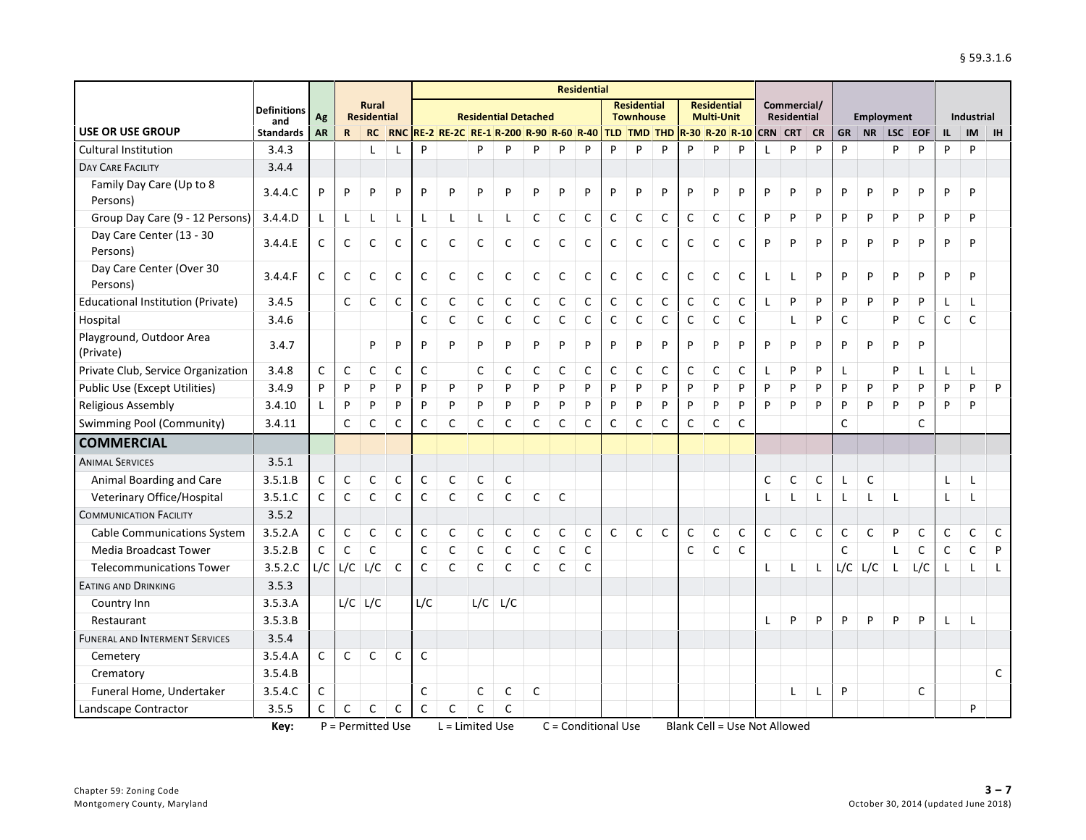|                                          |                         |              |              |                                    |              |              |                                      |              |                             |              |              | <b>Residential</b> |              |                                        |                            |             |                                         |              |              |                                   |              |              |              |                   |             |              |              |              |
|------------------------------------------|-------------------------|--------------|--------------|------------------------------------|--------------|--------------|--------------------------------------|--------------|-----------------------------|--------------|--------------|--------------------|--------------|----------------------------------------|----------------------------|-------------|-----------------------------------------|--------------|--------------|-----------------------------------|--------------|--------------|--------------|-------------------|-------------|--------------|--------------|--------------|
|                                          | <b>Definitions</b>      | Ag           |              | <b>Rural</b><br><b>Residential</b> |              |              |                                      |              | <b>Residential Detached</b> |              |              |                    |              | <b>Residential</b><br><b>Townhouse</b> |                            |             | <b>Residential</b><br><b>Multi-Unit</b> |              |              | Commercial/<br><b>Residential</b> |              |              |              | <b>Employment</b> |             |              | Industrial   |              |
| <b>USE OR USE GROUP</b>                  | and<br><b>Standards</b> | <b>AR</b>    | $\mathbf R$  | <b>RC</b>                          | <b>RNC</b>   |              | RE-2 RE-2C RE-1 R-200 R-90 R-60 R-40 |              |                             |              |              |                    |              |                                        | TLD TMD THD R-30 R-20 R-10 |             |                                         |              | <b>CRN</b>   | <b>CRT</b>                        | <b>CR</b>    | <b>GR</b>    | <b>NR</b>    | LSC EOF           |             | $\mathbf{L}$ | IM           | <b>IH</b>    |
| <b>Cultural Institution</b>              | 3.4.3                   |              |              |                                    |              | P            |                                      | P            | P                           | P            | P            | P                  | P            | P                                      | P                          | P           | P                                       | P            |              | P                                 | P            | P            |              | P                 | P           | P            | P            |              |
| <b>DAY CARE FACILITY</b>                 | 3.4.4                   |              |              |                                    |              |              |                                      |              |                             |              |              |                    |              |                                        |                            |             |                                         |              |              |                                   |              |              |              |                   |             |              |              |              |
| Family Day Care (Up to 8<br>Persons)     | 3.4.4.C                 | P            | P            | P                                  | P            | P            | P                                    | P            | P                           | P            | P            | P                  | P            | P                                      | P                          | P           | P                                       | P            | P            | P                                 | P            | P            | P            | P                 | P           | P            | P            |              |
| Group Day Care (9 - 12 Persons)          | 3.4.4.D                 | L            | L            | L                                  |              | L            | L                                    | L            | Г                           | $\mathsf C$  | $\mathsf C$  | $\mathsf{C}$       | C            | $\mathsf C$                            | $\mathsf C$                | $\mathsf C$ | $\mathsf C$                             | $\mathsf C$  | P            | P                                 | P            | ${\sf P}$    | ${\sf P}$    | P                 | P           | P            | P            |              |
| Day Care Center (13 - 30<br>Persons)     | 3.4.4.E                 | C            | C            | C                                  | C            | C            | $\mathsf{C}$                         | $\mathsf C$  | C                           | C            | $\mathsf{C}$ | $\mathsf{C}$       | C            | C                                      | $\mathsf{C}$               | C           | C                                       | C            | P            | P                                 | P            | P            | P            | P                 | P           | P            | P            |              |
| Day Care Center (Over 30<br>Persons)     | 3.4.4.F                 | C            | C            | C                                  | C            | C            | $\mathsf{C}$                         | $\mathsf C$  | C                           | C            | C            | C                  | C            | C                                      | C                          | C           | C                                       | C            | L            | L                                 | P            | P            | P            | P                 | P           | P            | P            |              |
| <b>Educational Institution (Private)</b> | 3.4.5                   |              | C            | C                                  | C            | $\mathsf{C}$ | $\mathsf{C}$                         | C            | C                           | C            | C            | C                  | C            | C                                      | C                          | C           | C                                       | C            | L            | P                                 | P            | P            | P            | P                 | P           | L            |              |              |
| Hospital                                 | 3.4.6                   |              |              |                                    |              | $\mathsf{C}$ | $\mathsf{C}$                         | $\mathsf{C}$ | C                           | C            | $\mathsf{C}$ | C                  | C            | $\mathsf C$                            | $\mathsf C$                | C           | $\mathsf C$                             | $\mathsf{C}$ |              | $\mathsf{L}$                      | P            | $\mathsf{C}$ |              | P                 | C           | C            | C            |              |
| Playground, Outdoor Area<br>(Private)    | 3.4.7                   |              |              | P                                  | P            | P            | P                                    | P            | P                           | P            | P            | P                  | P            | P                                      | P                          | P           | P                                       | P            | P            | P                                 | P            | P            | P            | P                 | P           |              |              |              |
| Private Club, Service Organization       | 3.4.8                   | $\mathsf{C}$ | $\mathsf{C}$ | $\mathsf{C}$                       | C            | $\mathsf{C}$ |                                      | $\mathsf{C}$ | $\mathsf{C}$                | C            | $\mathsf{C}$ | C                  | $\mathsf{C}$ | C                                      | C                          | C           | $\mathsf C$                             | C            | L            | P                                 | P            | L            |              | P                 |             | L            | $\mathbf{I}$ |              |
| <b>Public Use (Except Utilities)</b>     | 3.4.9                   | P            | P            | P                                  | P            | P            | P                                    | P            | P                           | P            | P            | P                  | P            | P                                      | P                          | P           | P                                       | P            | P            | P                                 | P            | P            | P            | P                 | P           | P            | P            | P            |
| <b>Religious Assembly</b>                | 3.4.10                  |              | P            | P                                  | P            | P            | P                                    | P            | P                           | P            | P            | P                  | P            | P                                      | P                          | P           | P                                       | P            | P            | P                                 | P            | P            | P            | P                 | P           | P            | P            |              |
| Swimming Pool (Community)                | 3.4.11                  |              | $\mathsf C$  | $\mathsf{C}$                       | C            | C            | $\mathsf C$                          | $\mathsf C$  | C                           | C            | C            | C                  | C            | $\mathsf C$                            | $\mathsf C$                | $\mathsf C$ | $\mathsf C$                             | $\mathsf C$  |              |                                   |              | $\mathsf{C}$ |              |                   | C           |              |              |              |
| <b>COMMERCIAL</b>                        |                         |              |              |                                    |              |              |                                      |              |                             |              |              |                    |              |                                        |                            |             |                                         |              |              |                                   |              |              |              |                   |             |              |              |              |
| <b>ANIMAL SERVICES</b>                   | 3.5.1                   |              |              |                                    |              |              |                                      |              |                             |              |              |                    |              |                                        |                            |             |                                         |              |              |                                   |              |              |              |                   |             |              |              |              |
| Animal Boarding and Care                 | 3.5.1.B                 | $\mathsf C$  | $\mathsf C$  | $\mathsf C$                        | $\mathsf C$  | $\mathsf C$  | $\mathsf C$                          | $\mathsf C$  | C                           |              |              |                    |              |                                        |                            |             |                                         |              | $\mathsf C$  | $\mathsf C$                       | $\mathsf C$  | L            | $\mathsf C$  |                   |             |              | L            |              |
| Veterinary Office/Hospital               | 3.5.1.C                 | C            | C            | $\mathsf{C}$                       | C            | $\mathsf{C}$ | $\mathsf{C}$                         | $\mathsf{C}$ | C                           | C            | $\mathsf{C}$ |                    |              |                                        |                            |             |                                         |              | L            | $\mathsf{L}$                      | L            | L            | L            | L                 |             | L            | L            |              |
| <b>COMMUNICATION FACILITY</b>            | 3.5.2                   |              |              |                                    |              |              |                                      |              |                             |              |              |                    |              |                                        |                            |             |                                         |              |              |                                   |              |              |              |                   |             |              |              |              |
| <b>Cable Communications System</b>       | 3.5.2.A                 | C            | $\mathsf C$  | $\mathsf{C}$                       | $\mathsf{C}$ | $\mathsf{C}$ | $\mathsf{C}$                         | $\mathsf{C}$ | $\mathsf C$                 | $\mathsf{C}$ | $\mathsf{C}$ | $\mathsf{C}$       | $\mathsf{C}$ | $\mathsf{C}$                           | $\mathsf C$                | $\mathsf C$ | $\mathsf C$                             | $\mathsf C$  | $\mathsf{C}$ | $\mathsf{C}$                      | $\mathsf C$  | $\mathsf C$  | $\mathsf{C}$ | P                 | $\mathsf C$ | $\mathsf C$  | $\mathsf{C}$ | C            |
| <b>Media Broadcast Tower</b>             | 3.5.2.B                 | C            | C            | $\mathsf{C}$                       |              | $\mathsf{C}$ | C                                    | C            | C                           | C            | C            | C                  |              |                                        |                            | C           | $\mathsf{C}$                            | $\mathsf{C}$ |              |                                   |              | C            |              | L                 | C           | C            | C            | P            |
| <b>Telecommunications Tower</b>          | 3.5.2.C                 | L/C          | L/C          | L/C                                | $\mathsf{C}$ | $\mathsf{C}$ | $\mathsf{C}$                         | $\mathsf{C}$ | $\mathsf{C}$                | $\mathsf{C}$ | $\mathsf{C}$ | $\mathsf{C}$       |              |                                        |                            |             |                                         |              | $\mathsf{L}$ | $\mathsf{L}$                      | $\mathsf{L}$ | L/C          | L/C          | $\mathsf{L}$      | L/C         | $\mathbf{I}$ |              | $\mathbf{I}$ |
| <b>EATING AND DRINKING</b>               | 3.5.3                   |              |              |                                    |              |              |                                      |              |                             |              |              |                    |              |                                        |                            |             |                                         |              |              |                                   |              |              |              |                   |             |              |              |              |
| Country Inn                              | 3.5.3.A                 |              | L/C          | L/C                                |              | L/C          |                                      | L/C          | L/C                         |              |              |                    |              |                                        |                            |             |                                         |              |              |                                   |              |              |              |                   |             |              |              |              |
| Restaurant                               | 3.5.3.B                 |              |              |                                    |              |              |                                      |              |                             |              |              |                    |              |                                        |                            |             |                                         |              | L            | P                                 | P            | P            | P            | P                 | P           |              | L            |              |
| <b>FUNERAL AND INTERMENT SERVICES</b>    | 3.5.4                   |              |              |                                    |              |              |                                      |              |                             |              |              |                    |              |                                        |                            |             |                                         |              |              |                                   |              |              |              |                   |             |              |              |              |
| Cemetery                                 | 3.5.4.A                 | C            | C            | $\mathsf{C}$                       | C            | $\mathsf{C}$ |                                      |              |                             |              |              |                    |              |                                        |                            |             |                                         |              |              |                                   |              |              |              |                   |             |              |              |              |
| Crematory                                | 3.5.4.B                 |              |              |                                    |              |              |                                      |              |                             |              |              |                    |              |                                        |                            |             |                                         |              |              |                                   |              |              |              |                   |             |              |              | $\mathsf{C}$ |
| Funeral Home, Undertaker                 | 3.5.4.C                 | C            |              |                                    |              | $\mathsf{C}$ |                                      | $\mathsf{C}$ | $\mathsf{C}$                | $\mathsf{C}$ |              |                    |              |                                        |                            |             |                                         |              |              | $\mathsf{L}$                      | $\mathsf{L}$ | P            |              |                   | C           |              |              |              |
| Landscape Contractor                     | 3.5.5                   | C            | $\mathsf C$  | $\mathsf C$                        | C            | $\mathsf{C}$ | $\mathsf{C}$                         | $\mathsf{C}$ | $\mathsf{C}$                |              |              |                    |              |                                        |                            |             |                                         |              |              |                                   |              |              |              |                   |             |              | P            |              |

**Key:** P = Permitted Use L = Limited Use C = Conditional Use Blank Cell = Use Not Allowed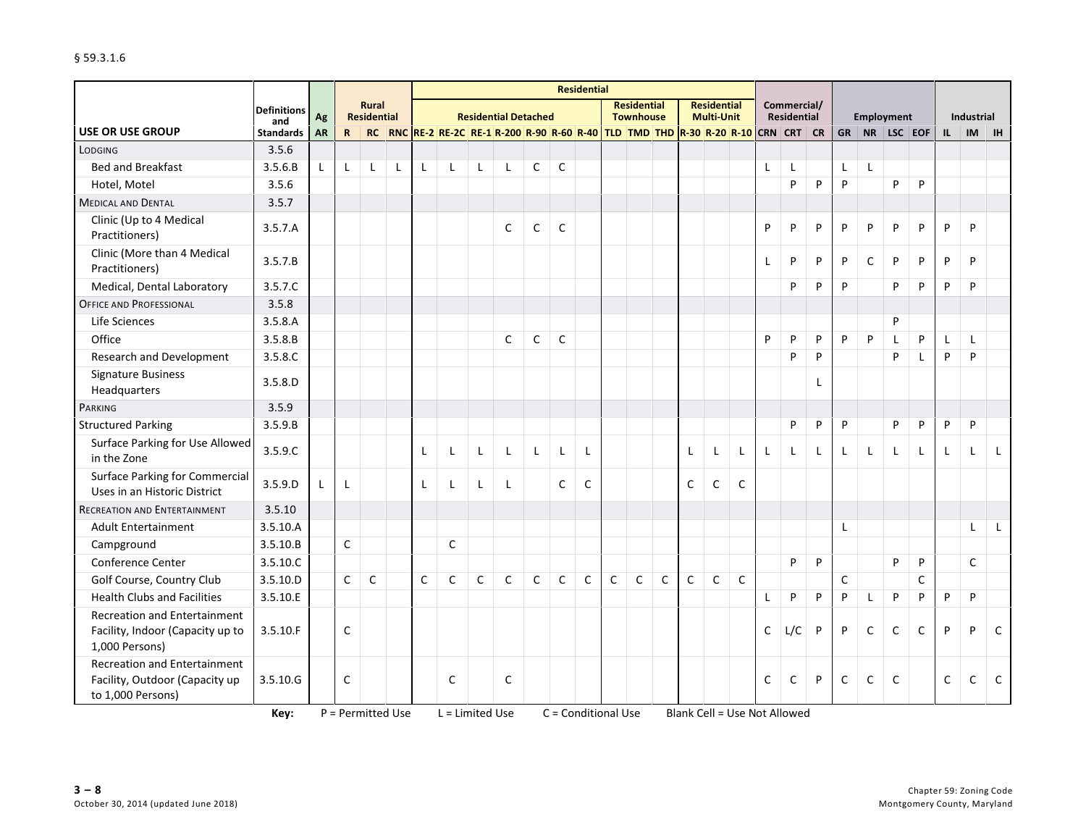|                                                                                            |                           |           |              |                                    |              |              |                                                                             |              |                             |              |              | <b>Residential</b> |             |                                        |             |             |                                         |             |   |                            |           |             |              |              |              |             |              |              |
|--------------------------------------------------------------------------------------------|---------------------------|-----------|--------------|------------------------------------|--------------|--------------|-----------------------------------------------------------------------------|--------------|-----------------------------|--------------|--------------|--------------------|-------------|----------------------------------------|-------------|-------------|-----------------------------------------|-------------|---|----------------------------|-----------|-------------|--------------|--------------|--------------|-------------|--------------|--------------|
|                                                                                            | <b>Definitions</b><br>and | Ag        |              | <b>Rural</b><br><b>Residential</b> |              |              |                                                                             |              | <b>Residential Detached</b> |              |              |                    |             | <b>Residential</b><br><b>Townhouse</b> |             |             | <b>Residential</b><br><b>Multi-Unit</b> |             |   | Commercial/<br>Residential |           |             |              | Employment   |              |             | Industrial   |              |
| <b>USE OR USE GROUP</b>                                                                    | <b>Standards</b>          | <b>AR</b> | $\mathsf{R}$ | <b>RC</b>                          |              |              | RNC RE-2 RE-2C RE-1 R-200 R-90 R-60 R-40 TLD TMD THD R-30 R-20 R-10 CRN CRT |              |                             |              |              |                    |             |                                        |             |             |                                         |             |   |                            | <b>CR</b> | <b>GR</b>   |              | $NR$ LSC EOF |              | IL          | <b>IM</b>    | <b>IH</b>    |
| LODGING                                                                                    | 3.5.6                     |           |              |                                    |              |              |                                                                             |              |                             |              |              |                    |             |                                        |             |             |                                         |             |   |                            |           |             |              |              |              |             |              |              |
| <b>Bed and Breakfast</b>                                                                   | 3.5.6.B                   | L         | $\mathsf{L}$ | L                                  | $\mathbf{I}$ | L            | L                                                                           | $\mathsf{L}$ | L                           | $\mathsf{C}$ | $\mathsf{C}$ |                    |             |                                        |             |             |                                         |             | L | L                          |           | L           | $\mathsf{L}$ |              |              |             |              |              |
| Hotel, Motel                                                                               | 3.5.6                     |           |              |                                    |              |              |                                                                             |              |                             |              |              |                    |             |                                        |             |             |                                         |             |   | P                          | P         | P           |              | P            | P            |             |              |              |
| <b>MEDICAL AND DENTAL</b>                                                                  | 3.5.7                     |           |              |                                    |              |              |                                                                             |              |                             |              |              |                    |             |                                        |             |             |                                         |             |   |                            |           |             |              |              |              |             |              |              |
| Clinic (Up to 4 Medical<br>Practitioners)                                                  | 3.5.7.A                   |           |              |                                    |              |              |                                                                             |              | $\mathsf{C}$                | $\mathsf C$  | $\mathsf C$  |                    |             |                                        |             |             |                                         |             | P | P                          | P         | $\sf P$     | P            | P            | P            | P           | P            |              |
| Clinic (More than 4 Medical<br>Practitioners)                                              | 3.5.7.B                   |           |              |                                    |              |              |                                                                             |              |                             |              |              |                    |             |                                        |             |             |                                         |             | Г | P                          | P         | P           | $\mathsf C$  | P            | P            | P           | P            |              |
| Medical, Dental Laboratory                                                                 | 3.5.7.C                   |           |              |                                    |              |              |                                                                             |              |                             |              |              |                    |             |                                        |             |             |                                         |             |   | P                          | P         | P           |              | P            | P            | P           | P            |              |
| <b>OFFICE AND PROFESSIONAL</b>                                                             | 3.5.8                     |           |              |                                    |              |              |                                                                             |              |                             |              |              |                    |             |                                        |             |             |                                         |             |   |                            |           |             |              |              |              |             |              |              |
| Life Sciences                                                                              | 3.5.8.A                   |           |              |                                    |              |              |                                                                             |              |                             |              |              |                    |             |                                        |             |             |                                         |             |   |                            |           |             |              | P            |              |             |              |              |
| Office                                                                                     | 3.5.8.B                   |           |              |                                    |              |              |                                                                             |              | $\mathsf{C}$                | $\mathsf{C}$ | $\mathsf{C}$ |                    |             |                                        |             |             |                                         |             | P | P                          | P         | P           | P            | $\mathsf{L}$ | P            | L           | $\mathsf{L}$ |              |
| <b>Research and Development</b>                                                            | 3.5.8.C                   |           |              |                                    |              |              |                                                                             |              |                             |              |              |                    |             |                                        |             |             |                                         |             |   | P                          | P         |             |              | P            | L            | P           | P            |              |
| <b>Signature Business</b><br>Headquarters                                                  | 3.5.8.D                   |           |              |                                    |              |              |                                                                             |              |                             |              |              |                    |             |                                        |             |             |                                         |             |   |                            | L         |             |              |              |              |             |              |              |
| PARKING                                                                                    | 3.5.9                     |           |              |                                    |              |              |                                                                             |              |                             |              |              |                    |             |                                        |             |             |                                         |             |   |                            |           |             |              |              |              |             |              |              |
| <b>Structured Parking</b>                                                                  | 3.5.9.B                   |           |              |                                    |              |              |                                                                             |              |                             |              |              |                    |             |                                        |             |             |                                         |             |   | P                          | P         | P           |              | P            | P            | P           | P            |              |
| Surface Parking for Use Allowed<br>in the Zone                                             | 3.5.9.C                   |           |              |                                    |              | $\mathsf{L}$ | L                                                                           | $\mathsf{L}$ | L                           | $\mathsf{L}$ | $\mathbf{I}$ | $\mathsf{L}$       |             |                                        |             |             | L                                       | L           | L | $\mathsf{L}$               | L         | L           | $\mathsf{L}$ | $\mathsf{L}$ | $\mathsf{L}$ | L           | $\mathsf{L}$ | $\mathsf{L}$ |
| <b>Surface Parking for Commercial</b><br>Uses in an Historic District                      | 3.5.9.D                   |           | L            |                                    |              | L            | L                                                                           | $\mathsf{L}$ | L                           |              | C            | C                  |             |                                        |             | C           | C                                       | C           |   |                            |           |             |              |              |              |             |              |              |
| <b>RECREATION AND ENTERTAINMENT</b>                                                        | 3.5.10                    |           |              |                                    |              |              |                                                                             |              |                             |              |              |                    |             |                                        |             |             |                                         |             |   |                            |           |             |              |              |              |             |              |              |
| <b>Adult Entertainment</b>                                                                 | 3.5.10.A                  |           |              |                                    |              |              |                                                                             |              |                             |              |              |                    |             |                                        |             |             |                                         |             |   |                            |           | L           |              |              |              |             | L            | $\mathsf{L}$ |
| Campground                                                                                 | 3.5.10.B                  |           | $\mathsf C$  |                                    |              |              | $\mathsf{C}$                                                                |              |                             |              |              |                    |             |                                        |             |             |                                         |             |   |                            |           |             |              |              |              |             |              |              |
| Conference Center                                                                          | 3.5.10.C                  |           |              |                                    |              |              |                                                                             |              |                             |              |              |                    |             |                                        |             |             |                                         |             |   | P                          | P         |             |              | P            | P            |             | C            |              |
| Golf Course, Country Club                                                                  | 3.5.10.D                  |           | $\mathsf{C}$ | $\mathsf C$                        |              | $\mathsf C$  | $\mathsf C$                                                                 | $\mathsf C$  | $\mathsf C$                 | $\mathsf C$  | $\mathsf C$  | $\mathsf C$        | $\mathsf C$ | $\mathsf{C}$                           | $\mathsf C$ | $\mathsf C$ | $\mathsf C$                             | $\mathsf C$ |   |                            |           | $\mathsf C$ |              |              | $\mathsf C$  |             |              |              |
| <b>Health Clubs and Facilities</b>                                                         | 3.5.10.E                  |           |              |                                    |              |              |                                                                             |              |                             |              |              |                    |             |                                        |             |             |                                         |             | L | P                          | P         | P           | $\mathsf{L}$ | P            | P            | P           | P            |              |
| <b>Recreation and Entertainment</b><br>Facility, Indoor (Capacity up to<br>1,000 Persons)  | 3.5.10.F                  |           | $\mathsf{C}$ |                                    |              |              |                                                                             |              |                             |              |              |                    |             |                                        |             |             |                                         |             | C | L/C                        | P         | P           | $\mathsf C$  | $\mathsf C$  | $\mathsf C$  | P           | P            | C            |
| <b>Recreation and Entertainment</b><br>Facility, Outdoor (Capacity up<br>to 1,000 Persons) | 3.5.10.G                  |           | $\mathsf{C}$ |                                    |              |              | C                                                                           |              | $\mathsf{C}$                |              |              |                    |             |                                        |             |             |                                         |             | C | C                          | P         | $\mathsf C$ | $\mathsf{C}$ | $\mathsf{C}$ |              | $\mathsf C$ | C            | C            |

**Key:** P = Permitted Use L = Limited Use C = Conditional Use Blank Cell = Use Not Allowed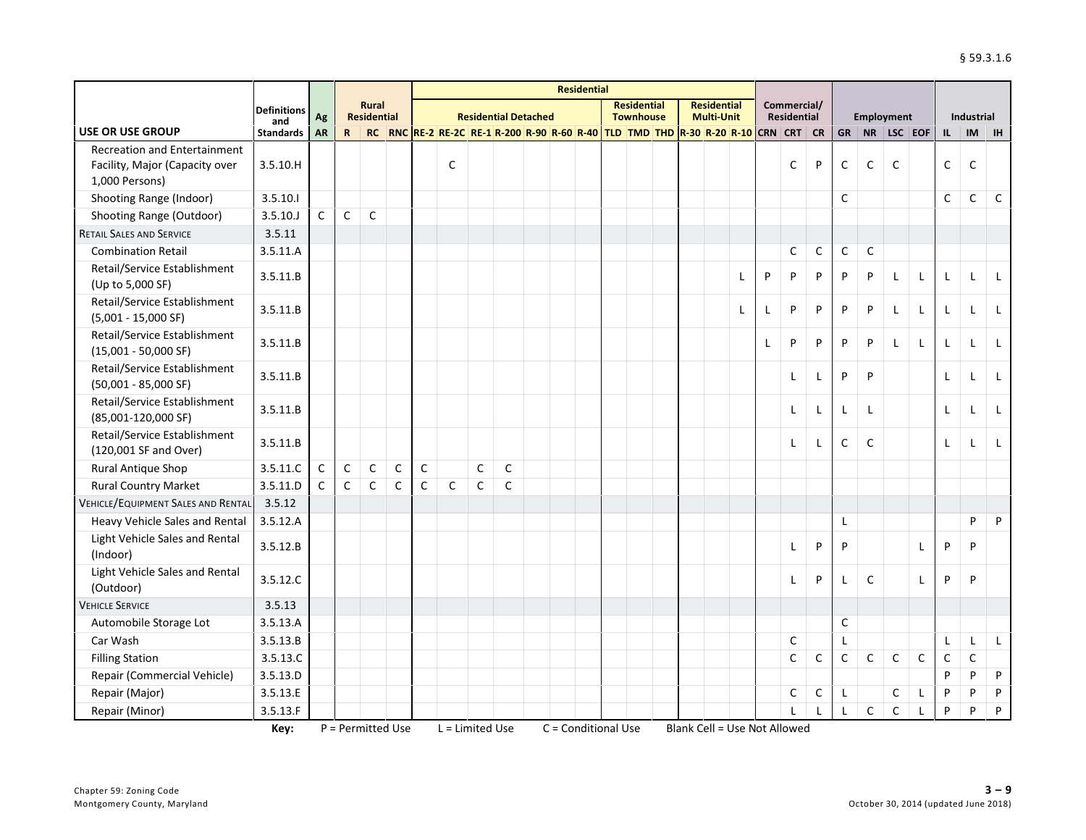|                                                                                         |                         |             |              |                                    |             |             |                                                                                |             |                             |  | <b>Residential</b> |                                        |  |                                         |   |   |                                   |              |              |              |              |              |              |              |              |
|-----------------------------------------------------------------------------------------|-------------------------|-------------|--------------|------------------------------------|-------------|-------------|--------------------------------------------------------------------------------|-------------|-----------------------------|--|--------------------|----------------------------------------|--|-----------------------------------------|---|---|-----------------------------------|--------------|--------------|--------------|--------------|--------------|--------------|--------------|--------------|
|                                                                                         | <b>Definitions</b>      | Ag          |              | <b>Rural</b><br><b>Residential</b> |             |             |                                                                                |             | <b>Residential Detached</b> |  |                    | <b>Residential</b><br><b>Townhouse</b> |  | <b>Residential</b><br><b>Multi-Unit</b> |   |   | Commercial/<br><b>Residential</b> |              |              |              | Employment   |              |              | Industrial   |              |
| <b>USE OR USE GROUP</b>                                                                 | and<br><b>Standards</b> | <b>AR</b>   | $\mathbf{R}$ |                                    |             |             | RC RNC RE-2 RE-2C RE-1 R-200 R-90 R-60 R-40 TLD TMD THD R-30 R-20 R-10 CRN CRT |             |                             |  |                    |                                        |  |                                         |   |   |                                   | <b>CR</b>    | <b>GR</b>    |              | NR LSC EOF   |              | $\mathbf{L}$ | <b>IM</b>    | <b>IH</b>    |
| <b>Recreation and Entertainment</b><br>Facility, Major (Capacity over<br>1,000 Persons) | 3.5.10.H                |             |              |                                    |             |             | $\mathsf{C}$                                                                   |             |                             |  |                    |                                        |  |                                         |   |   | C                                 | P            | $\mathsf C$  | $\mathsf C$  | $\mathsf{C}$ |              | $\mathsf C$  | C            |              |
| Shooting Range (Indoor)                                                                 | 3.5.10.1                |             |              |                                    |             |             |                                                                                |             |                             |  |                    |                                        |  |                                         |   |   |                                   |              | $\mathsf{C}$ |              |              |              | $\mathsf C$  | $\mathsf C$  | C            |
| Shooting Range (Outdoor)                                                                | 3.5.10.J                | C           | $\mathsf C$  | $\mathsf C$                        |             |             |                                                                                |             |                             |  |                    |                                        |  |                                         |   |   |                                   |              |              |              |              |              |              |              |              |
| <b>RETAIL SALES AND SERVICE</b>                                                         | 3.5.11                  |             |              |                                    |             |             |                                                                                |             |                             |  |                    |                                        |  |                                         |   |   |                                   |              |              |              |              |              |              |              |              |
| <b>Combination Retail</b>                                                               | 3.5.11.A                |             |              |                                    |             |             |                                                                                |             |                             |  |                    |                                        |  |                                         |   |   | $\mathsf C$                       | C            | $\mathsf C$  | $\mathsf{C}$ |              |              |              |              |              |
| Retail/Service Establishment<br>(Up to 5,000 SF)                                        | 3.5.11.B                |             |              |                                    |             |             |                                                                                |             |                             |  |                    |                                        |  |                                         | L | P | P                                 | P            | P            | P            | L            | L            | L            | L            | L            |
| Retail/Service Establishment<br>$(5,001 - 15,000$ SF)                                   | 3.5.11.B                |             |              |                                    |             |             |                                                                                |             |                             |  |                    |                                        |  |                                         | L | L | P                                 | P            | P            | P            | L            | L            | L            | L            | $\mathsf{L}$ |
| Retail/Service Establishment<br>$(15,001 - 50,000$ SF)                                  | 3.5.11.B                |             |              |                                    |             |             |                                                                                |             |                             |  |                    |                                        |  |                                         |   | L | P                                 | P            | P            | P            | $\mathsf{L}$ | L            | L            | L            | $\mathsf{L}$ |
| Retail/Service Establishment<br>$(50,001 - 85,000 SF)$                                  | 3.5.11.B                |             |              |                                    |             |             |                                                                                |             |                             |  |                    |                                        |  |                                         |   |   | Г                                 | L            | ${\sf P}$    | P            |              |              | L            | L            | $\mathsf{L}$ |
| Retail/Service Establishment<br>(85,001-120,000 SF)                                     | 3.5.11.B                |             |              |                                    |             |             |                                                                                |             |                             |  |                    |                                        |  |                                         |   |   | Г                                 | L            | L            | $\mathsf{L}$ |              |              | L            | $\mathsf{L}$ | $\mathsf{L}$ |
| Retail/Service Establishment<br>(120,001 SF and Over)                                   | 3.5.11.B                |             |              |                                    |             |             |                                                                                |             |                             |  |                    |                                        |  |                                         |   |   | L                                 | L            | $\mathsf{C}$ | $\mathsf{C}$ |              |              | L            | L            | L            |
| <b>Rural Antique Shop</b>                                                               | 3.5.11.C                | C           | $\mathsf C$  | $\mathsf{C}$                       | $\mathsf C$ | $\mathsf C$ |                                                                                | $\mathsf C$ | $\mathsf{C}$                |  |                    |                                        |  |                                         |   |   |                                   |              |              |              |              |              |              |              |              |
| <b>Rural Country Market</b>                                                             | 3.5.11.D                | $\mathsf C$ | $\mathsf C$  | $\mathsf C$                        | $\mathsf C$ | $\mathsf C$ | $\mathsf C$                                                                    | $\mathsf C$ | C                           |  |                    |                                        |  |                                         |   |   |                                   |              |              |              |              |              |              |              |              |
| <b>VEHICLE/EQUIPMENT SALES AND RENTAL</b>                                               | 3.5.12                  |             |              |                                    |             |             |                                                                                |             |                             |  |                    |                                        |  |                                         |   |   |                                   |              |              |              |              |              |              |              |              |
| Heavy Vehicle Sales and Rental                                                          | 3.5.12.A                |             |              |                                    |             |             |                                                                                |             |                             |  |                    |                                        |  |                                         |   |   |                                   |              | L            |              |              |              |              | P            | P            |
| Light Vehicle Sales and Rental<br>(Indoor)                                              | 3.5.12.B                |             |              |                                    |             |             |                                                                                |             |                             |  |                    |                                        |  |                                         |   |   | L                                 | P            | P            |              |              | L            | P            | P            |              |
| Light Vehicle Sales and Rental<br>(Outdoor)                                             | 3.5.12.C                |             |              |                                    |             |             |                                                                                |             |                             |  |                    |                                        |  |                                         |   |   | L                                 | P            | Г            | $\mathsf{C}$ |              | L            | P            | P            |              |
| <b>VEHICLE SERVICE</b>                                                                  | 3.5.13                  |             |              |                                    |             |             |                                                                                |             |                             |  |                    |                                        |  |                                         |   |   |                                   |              |              |              |              |              |              |              |              |
| Automobile Storage Lot                                                                  | 3.5.13.A                |             |              |                                    |             |             |                                                                                |             |                             |  |                    |                                        |  |                                         |   |   |                                   |              | $\mathsf{C}$ |              |              |              |              |              |              |
| Car Wash                                                                                | 3.5.13.B                |             |              |                                    |             |             |                                                                                |             |                             |  |                    |                                        |  |                                         |   |   | C                                 |              | L            |              |              |              | L            | L            | $\mathsf{L}$ |
| <b>Filling Station</b>                                                                  | 3.5.13.C                |             |              |                                    |             |             |                                                                                |             |                             |  |                    |                                        |  |                                         |   |   | $\mathsf{C}$                      | $\mathsf{C}$ | $\mathsf C$  | $\mathsf{C}$ | $\mathsf C$  | $\mathsf{C}$ | $\mathsf C$  | $\mathsf{C}$ |              |
| Repair (Commercial Vehicle)                                                             | 3.5.13.D                |             |              |                                    |             |             |                                                                                |             |                             |  |                    |                                        |  |                                         |   |   |                                   |              |              |              |              |              | P            | P            | P            |
| Repair (Major)                                                                          | 3.5.13.E                |             |              |                                    |             |             |                                                                                |             |                             |  |                    |                                        |  |                                         |   |   | С                                 | С            | L            |              | C            | L            | P            | P            | P            |
| Repair (Minor)                                                                          | 3.5.13.F                |             |              |                                    |             |             |                                                                                |             |                             |  |                    |                                        |  |                                         |   |   |                                   |              |              | $\mathsf{C}$ | $\mathsf{C}$ | L            | P            | P            | P            |

**Key:** P = Permitted Use L = Limited Use C = Conditional Use Blank Cell = Use Not Allowed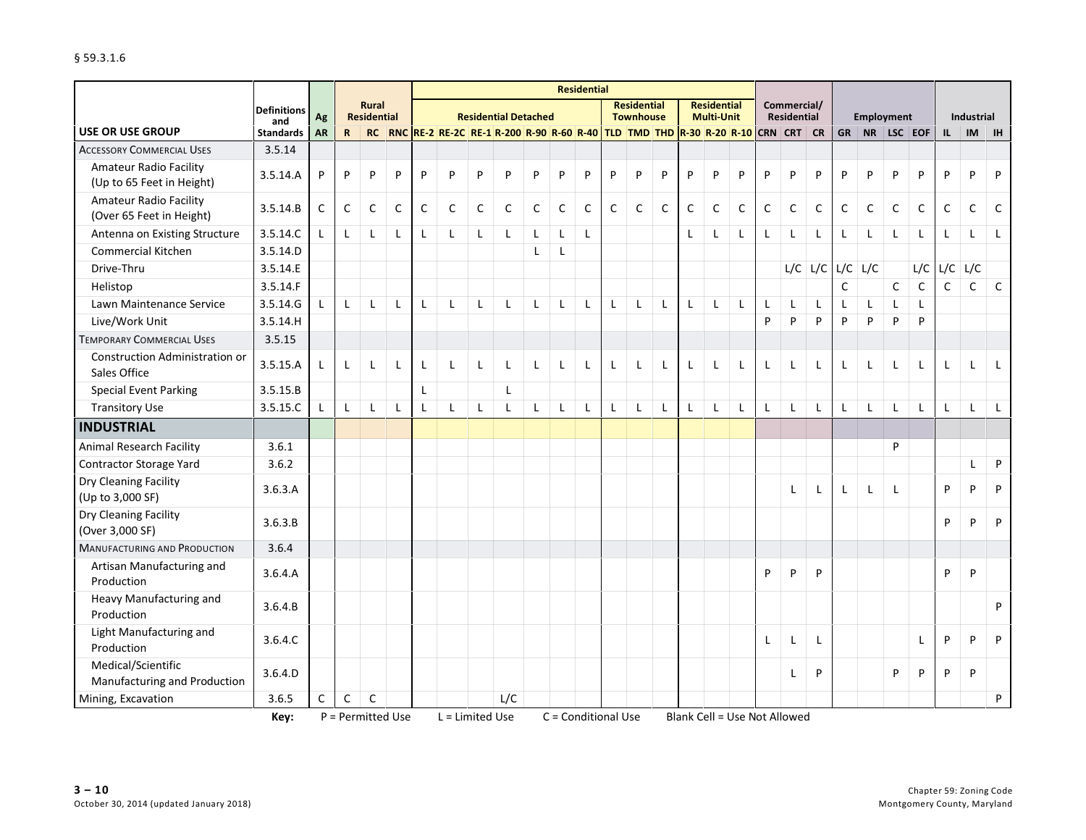|                                                            |                           |              |              |                                    |              |              |                                                                                                    |              |                             |              |                     | <b>Residential</b> |              |                                        |              |              |                                         |                                     |              |                            |              |              |                   |              |              |              |              |              |
|------------------------------------------------------------|---------------------------|--------------|--------------|------------------------------------|--------------|--------------|----------------------------------------------------------------------------------------------------|--------------|-----------------------------|--------------|---------------------|--------------------|--------------|----------------------------------------|--------------|--------------|-----------------------------------------|-------------------------------------|--------------|----------------------------|--------------|--------------|-------------------|--------------|--------------|--------------|--------------|--------------|
|                                                            | <b>Definitions</b><br>and | Ag           |              | <b>Rural</b><br><b>Residential</b> |              |              |                                                                                                    |              | <b>Residential Detached</b> |              |                     |                    |              | <b>Residential</b><br><b>Townhouse</b> |              |              | <b>Residential</b><br><b>Multi-Unit</b> |                                     |              | Commercial/<br>Residential |              |              | <b>Employment</b> |              |              |              | Industrial   |              |
| <b>USE OR USE GROUP</b>                                    | <b>Standards</b>          | <b>AR</b>    | $\mathbf{R}$ |                                    |              |              | RC   RNC   RE-2   RE-2C   RE-1   R-200   R-90   R-60   R-40   TLD   TMD   THD   R-30   R-20   R-10 |              |                             |              |                     |                    |              |                                        |              |              |                                         |                                     |              | CRN CRT                    | <b>CR</b>    | <b>GR</b>    | NR                | $LSC$ EOF    |              | IL.          | <b>IM</b>    | <b>IH</b>    |
| <b>ACCESSORY COMMERCIAL USES</b>                           | 3.5.14                    |              |              |                                    |              |              |                                                                                                    |              |                             |              |                     |                    |              |                                        |              |              |                                         |                                     |              |                            |              |              |                   |              |              |              |              |              |
| <b>Amateur Radio Facility</b><br>(Up to 65 Feet in Height) | 3.5.14.A                  | P            | P            | P                                  | P            | P            | P                                                                                                  | P            | P                           | P            | P                   | P                  | P            | P                                      | P            | P            | P                                       | P                                   | P            | P                          | P            | P            | P                 | P            | P            | P            | P            | P            |
| <b>Amateur Radio Facility</b><br>(Over 65 Feet in Height)  | 3.5.14.B                  | $\mathsf{C}$ | $\mathsf{C}$ | $\mathsf{C}$                       | C            | $\mathsf{C}$ | $\mathsf{C}$                                                                                       | $\mathsf{C}$ | C                           | C            | C                   | C                  | $\mathsf{C}$ | $\mathsf{C}$                           | $\mathsf{C}$ | $\mathsf{C}$ | C                                       | $\mathsf{C}$                        | C            | C                          | $\mathsf C$  | $\mathsf{C}$ | $\mathsf{C}$      | $\mathsf C$  | C            | C            | C            | C            |
| Antenna on Existing Structure                              | 3.5.14.C                  |              | L            | $\mathsf{L}$                       |              | L            | L                                                                                                  | $\mathsf{L}$ | $\mathsf{L}$                | L            | L                   | L                  |              |                                        |              | L            | L                                       | L                                   | L            | L                          | L            | $\mathsf{L}$ | L                 | $\mathsf{L}$ | $\mathsf{L}$ | $\mathbf{I}$ | L            | L            |
| <b>Commercial Kitchen</b>                                  | 3.5.14.D                  |              |              |                                    |              |              |                                                                                                    |              |                             | L            | L                   |                    |              |                                        |              |              |                                         |                                     |              |                            |              |              |                   |              |              |              |              |              |
| Drive-Thru                                                 | 3.5.14.E                  |              |              |                                    |              |              |                                                                                                    |              |                             |              |                     |                    |              |                                        |              |              |                                         |                                     |              | L/C                        | L/C          | L/C          | L/C               |              | L/C          | L/C          | L/C          |              |
| Helistop                                                   | 3.5.14.F                  |              |              |                                    |              |              |                                                                                                    |              |                             |              |                     |                    |              |                                        |              |              |                                         |                                     |              |                            |              | $\mathsf C$  |                   | $\mathsf C$  | $\mathsf C$  | $\mathsf{C}$ | $\mathsf{C}$ | $\mathsf{C}$ |
| Lawn Maintenance Service                                   | 3.5.14.G                  | $\mathsf{L}$ | $\mathbf{I}$ | $\mathbf{I}$                       |              | L            | L                                                                                                  | L            | L                           | $\mathbf{I}$ | L                   | $\mathbf{I}$       | L            | L                                      | L            | L            | L                                       | L                                   | L            | L                          | L            | L            | Г                 | L            | $\mathsf{L}$ |              |              |              |
| Live/Work Unit                                             | 3.5.14.H                  |              |              |                                    |              |              |                                                                                                    |              |                             |              |                     |                    |              |                                        |              |              |                                         |                                     | P            | P                          | P            | P            | P                 | P            | P            |              |              |              |
| <b>TEMPORARY COMMERCIAL USES</b>                           | 3.5.15                    |              |              |                                    |              |              |                                                                                                    |              |                             |              |                     |                    |              |                                        |              |              |                                         |                                     |              |                            |              |              |                   |              |              |              |              |              |
| Construction Administration or<br>Sales Office             | 3.5.15.A                  | L            |              | $\mathbf{I}$                       |              | L            | L                                                                                                  | $\mathsf{L}$ | $\mathbf{I}$                |              | L                   | $\mathbf{I}$       | L            | L                                      | L            | L            | L                                       | $\mathsf{L}$                        | L            | $\mathsf{L}$               | $\mathsf{L}$ | L            | L                 | L            | $\mathsf{L}$ | L            | L            | $\mathsf{L}$ |
| <b>Special Event Parking</b>                               | 3.5.15.B                  |              |              |                                    |              | L            |                                                                                                    |              | Г                           |              |                     |                    |              |                                        |              |              |                                         |                                     |              |                            |              |              |                   |              |              |              |              |              |
| <b>Transitory Use</b>                                      | 3.5.15.C                  |              | $\mathbf{I}$ | $\mathbf{I}$                       | $\mathsf{L}$ | L            | L                                                                                                  | $\mathsf{L}$ | L                           | $\mathbf{I}$ | L                   | $\mathsf{L}$       | $\mathsf{L}$ | L                                      | L            | L            | L                                       | L                                   | $\mathsf{L}$ | $\mathsf{L}$               | $\mathsf{L}$ | $\mathsf{L}$ | $\mathsf{L}$      | $\mathsf{L}$ | $\mathsf{L}$ | L            | L            | $\mathsf{L}$ |
| <b>INDUSTRIAL</b>                                          |                           |              |              |                                    |              |              |                                                                                                    |              |                             |              |                     |                    |              |                                        |              |              |                                         |                                     |              |                            |              |              |                   |              |              |              |              |              |
| <b>Animal Research Facility</b>                            | 3.6.1                     |              |              |                                    |              |              |                                                                                                    |              |                             |              |                     |                    |              |                                        |              |              |                                         |                                     |              |                            |              |              |                   | P            |              |              |              |              |
| Contractor Storage Yard                                    | 3.6.2                     |              |              |                                    |              |              |                                                                                                    |              |                             |              |                     |                    |              |                                        |              |              |                                         |                                     |              |                            |              |              |                   |              |              |              | $\mathsf{L}$ | P            |
| Dry Cleaning Facility<br>(Up to 3,000 SF)                  | 3.6.3.A                   |              |              |                                    |              |              |                                                                                                    |              |                             |              |                     |                    |              |                                        |              |              |                                         |                                     |              | L                          | L            | L            | L                 | L            |              | P            | P            | P            |
| Dry Cleaning Facility<br>(Over 3,000 SF)                   | 3.6.3.B                   |              |              |                                    |              |              |                                                                                                    |              |                             |              |                     |                    |              |                                        |              |              |                                         |                                     |              |                            |              |              |                   |              |              | P            | P            | P            |
| <b>MANUFACTURING AND PRODUCTION</b>                        | 3.6.4                     |              |              |                                    |              |              |                                                                                                    |              |                             |              |                     |                    |              |                                        |              |              |                                         |                                     |              |                            |              |              |                   |              |              |              |              |              |
| Artisan Manufacturing and<br>Production                    | 3.6.4.A                   |              |              |                                    |              |              |                                                                                                    |              |                             |              |                     |                    |              |                                        |              |              |                                         |                                     | P            | P                          | P            |              |                   |              |              | P            | P            |              |
| Heavy Manufacturing and<br>Production                      | 3.6.4.B                   |              |              |                                    |              |              |                                                                                                    |              |                             |              |                     |                    |              |                                        |              |              |                                         |                                     |              |                            |              |              |                   |              |              |              |              | P            |
| Light Manufacturing and<br>Production                      | 3.6.4.C                   |              |              |                                    |              |              |                                                                                                    |              |                             |              |                     |                    |              |                                        |              |              |                                         |                                     | L            | L                          | L            |              |                   |              | L            | P            | P            | P            |
| Medical/Scientific<br>Manufacturing and Production         | 3.6.4.D                   |              |              |                                    |              |              |                                                                                                    |              |                             |              |                     |                    |              |                                        |              |              |                                         |                                     |              | L                          | P            |              |                   | P            | P            | P            | P            |              |
| Mining, Excavation                                         | 3.6.5                     | $\mathsf C$  | $\mathsf{C}$ | $\mathsf{C}$                       |              |              |                                                                                                    |              | L/C                         |              |                     |                    |              |                                        |              |              |                                         |                                     |              |                            |              |              |                   |              |              |              |              | P            |
|                                                            | Key:                      |              |              | P = Permitted Use                  |              |              | L = Limited Use                                                                                    |              |                             |              | C = Conditional Use |                    |              |                                        |              |              |                                         | <b>Blank Cell = Use Not Allowed</b> |              |                            |              |              |                   |              |              |              |              |              |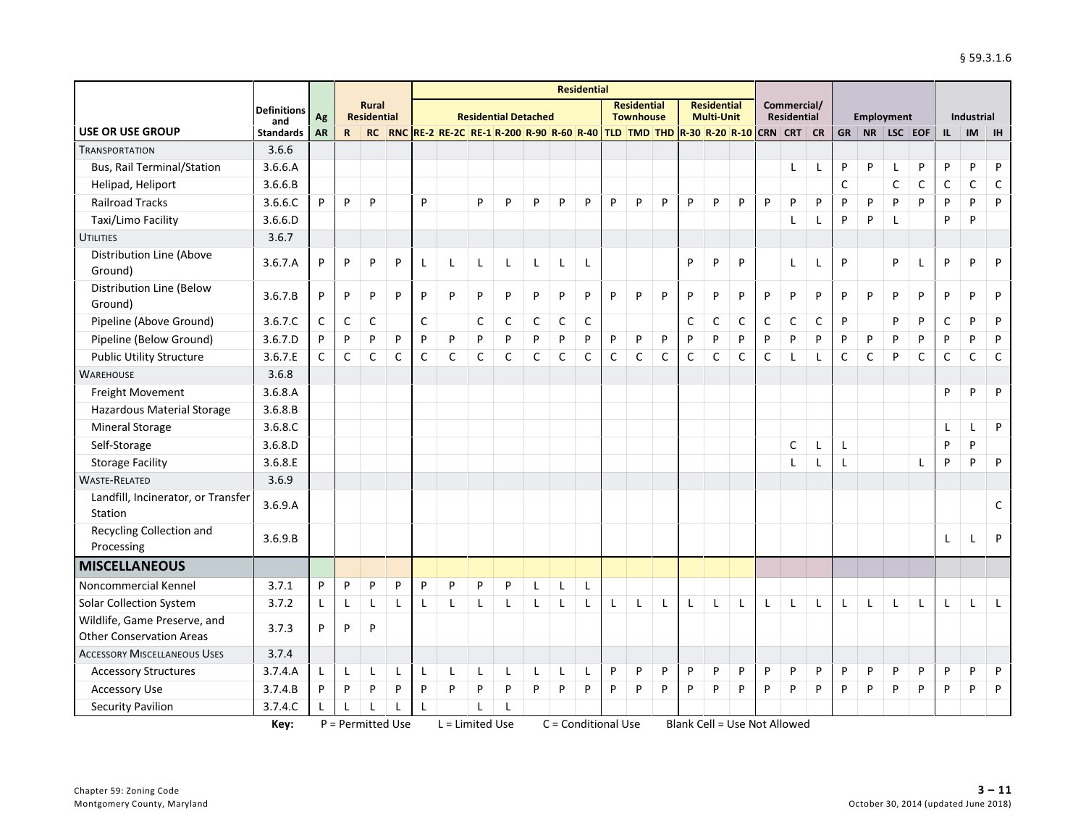|                                               |                         |              |              |                                    |              |              |                                                                             |              |                             |   |              | <b>Residential</b>  |   |                                        |   |              |                                         |             |             |                                   |              |              |   |                   |              |              |                   |              |
|-----------------------------------------------|-------------------------|--------------|--------------|------------------------------------|--------------|--------------|-----------------------------------------------------------------------------|--------------|-----------------------------|---|--------------|---------------------|---|----------------------------------------|---|--------------|-----------------------------------------|-------------|-------------|-----------------------------------|--------------|--------------|---|-------------------|--------------|--------------|-------------------|--------------|
|                                               | <b>Definitions</b>      | Ag           |              | <b>Rural</b><br><b>Residential</b> |              |              |                                                                             |              | <b>Residential Detached</b> |   |              |                     |   | <b>Residential</b><br><b>Townhouse</b> |   |              | <b>Residential</b><br><b>Multi-Unit</b> |             |             | Commercial/<br><b>Residential</b> |              |              |   | <b>Employment</b> |              |              | <b>Industrial</b> |              |
| USE OR USE GROUP                              | and<br><b>Standards</b> | <b>AR</b>    | $\mathbf R$  | RC                                 |              |              | RNC RE-2 RE-2C RE-1 R-200 R-90 R-60 R-40 TLD TMD THD R-30 R-20 R-10 CRN CRT |              |                             |   |              |                     |   |                                        |   |              |                                         |             |             |                                   | <b>CR</b>    | <b>GR</b>    |   | NR   LSC   EOF    |              | IL           | IM                | <b>IH</b>    |
| <b>TRANSPORTATION</b>                         | 3.6.6                   |              |              |                                    |              |              |                                                                             |              |                             |   |              |                     |   |                                        |   |              |                                         |             |             |                                   |              |              |   |                   |              |              |                   |              |
| <b>Bus, Rail Terminal/Station</b>             | 3.6.6.A                 |              |              |                                    |              |              |                                                                             |              |                             |   |              |                     |   |                                        |   |              |                                         |             |             | Г                                 | L            | P            | P | L                 | P            | P            | P                 | P            |
| Helipad, Heliport                             | 3.6.6.B                 |              |              |                                    |              |              |                                                                             |              |                             |   |              |                     |   |                                        |   |              |                                         |             |             |                                   |              | C            |   | C                 | C            | C            | C                 | $\mathsf C$  |
| <b>Railroad Tracks</b>                        | 3.6.6.C                 | P            | P            | P                                  |              | P            |                                                                             | P            | P                           | P | P            | P                   | P | P                                      | P | P            | P                                       | P           | P           | P                                 | P            | P            | P | P                 | P            | P            | P                 | P            |
| Taxi/Limo Facility                            | 3.6.6.D                 |              |              |                                    |              |              |                                                                             |              |                             |   |              |                     |   |                                        |   |              |                                         |             |             | L                                 | L            | P            | P |                   |              | P            | P                 |              |
| <b>UTILITIES</b>                              | 3.6.7                   |              |              |                                    |              |              |                                                                             |              |                             |   |              |                     |   |                                        |   |              |                                         |             |             |                                   |              |              |   |                   |              |              |                   |              |
| Distribution Line (Above<br>Ground)           | 3.6.7.A                 | P            | P            | P                                  | P            | L            | L                                                                           | $\mathsf{L}$ | L                           | L | L            | L                   |   |                                        |   | P            | P                                       | P           |             | L                                 | L            | P            |   | P                 | $\mathbf{I}$ | P            | P                 | P            |
| Distribution Line (Below<br>Ground)           | 3.6.7.B                 | P            | P            | P                                  | P            | P            | P                                                                           | P            | P                           | P | P            | P                   | P | P                                      | P | P            | P                                       | P           | P           | P                                 | P            | P            | P | P                 | P            | P            | P                 | P            |
| Pipeline (Above Ground)                       | 3.6.7.C                 | $\mathsf{C}$ | $\mathsf{C}$ | $\mathsf{C}$                       |              | $\mathsf{C}$ |                                                                             | C            | $\mathsf{C}$                | C | $\mathsf C$  | $\mathsf C$         |   |                                        |   | $\mathsf{C}$ | $\mathsf C$                             | $\mathsf C$ | $\mathsf C$ | $\mathsf C$                       | $\mathsf C$  | P            |   | P                 | P            | $\mathsf{C}$ | P                 | P            |
| Pipeline (Below Ground)                       | 3.6.7.D                 | P            | P            | P                                  | P            | P            | P                                                                           | P            | P                           | P | P            | P                   | P | P                                      | P | P            | P                                       | P           | P           | P                                 | P            | P            | P | P                 | P            | P            | P                 | P            |
| <b>Public Utility Structure</b>               | 3.6.7.E                 | $\mathsf{C}$ | C            | C                                  | C            | C            | C                                                                           | C            | C                           | C | $\mathsf{C}$ | C                   | C | C                                      | C | C            | C                                       | C           | C           | L                                 | $\mathsf{L}$ | $\mathsf{C}$ | C | P                 | C            | C            | C                 | $\mathsf C$  |
| <b>WAREHOUSE</b>                              | 3.6.8                   |              |              |                                    |              |              |                                                                             |              |                             |   |              |                     |   |                                        |   |              |                                         |             |             |                                   |              |              |   |                   |              |              |                   |              |
| Freight Movement                              | 3.6.8.A                 |              |              |                                    |              |              |                                                                             |              |                             |   |              |                     |   |                                        |   |              |                                         |             |             |                                   |              |              |   |                   |              | P            | P                 | P            |
| Hazardous Material Storage                    | 3.6.8.B                 |              |              |                                    |              |              |                                                                             |              |                             |   |              |                     |   |                                        |   |              |                                         |             |             |                                   |              |              |   |                   |              |              |                   |              |
| <b>Mineral Storage</b>                        | 3.6.8.C                 |              |              |                                    |              |              |                                                                             |              |                             |   |              |                     |   |                                        |   |              |                                         |             |             |                                   |              |              |   |                   |              | $\mathbf{I}$ | $\mathbf{I}$      | P            |
| Self-Storage                                  | 3.6.8.D                 |              |              |                                    |              |              |                                                                             |              |                             |   |              |                     |   |                                        |   |              |                                         |             |             | $\mathsf{C}$                      | $\mathsf{L}$ | L            |   |                   |              | P            | P                 |              |
| <b>Storage Facility</b>                       | 3.6.8.E                 |              |              |                                    |              |              |                                                                             |              |                             |   |              |                     |   |                                        |   |              |                                         |             |             | L                                 | L            | L            |   |                   | L            | P            | P                 | P            |
| <b>WASTE-RELATED</b>                          | 3.6.9                   |              |              |                                    |              |              |                                                                             |              |                             |   |              |                     |   |                                        |   |              |                                         |             |             |                                   |              |              |   |                   |              |              |                   |              |
| Landfill, Incinerator, or Transfer<br>Station | 3.6.9.A                 |              |              |                                    |              |              |                                                                             |              |                             |   |              |                     |   |                                        |   |              |                                         |             |             |                                   |              |              |   |                   |              |              |                   | $\mathsf{C}$ |
| Recycling Collection and<br>Processing        | 3.6.9.B                 |              |              |                                    |              |              |                                                                             |              |                             |   |              |                     |   |                                        |   |              |                                         |             |             |                                   |              |              |   |                   |              | L            | L                 | P            |
| <b>MISCELLANEOUS</b>                          |                         |              |              |                                    |              |              |                                                                             |              |                             |   |              |                     |   |                                        |   |              |                                         |             |             |                                   |              |              |   |                   |              |              |                   |              |
| Noncommercial Kennel                          | 3.7.1                   | P            | P            | P                                  | P            | P            | P                                                                           | P            | P                           | L | L            | L                   |   |                                        |   |              |                                         |             |             |                                   |              |              |   |                   |              |              |                   |              |
| Solar Collection System                       | 3.7.2                   | Г            | L            | L                                  | $\mathbf{I}$ | L            | L                                                                           | L            | $\mathbf{I}$                | L | L            | L                   | L | L                                      |   | L            | L                                       | L           | Г           | L                                 | L            | L            | L | L                 | L            | L            | L                 | L            |
| Wildlife, Game Preserve, and                  | 3.7.3                   | P            | P            | P                                  |              |              |                                                                             |              |                             |   |              |                     |   |                                        |   |              |                                         |             |             |                                   |              |              |   |                   |              |              |                   |              |
| <b>Other Conservation Areas</b>               |                         |              |              |                                    |              |              |                                                                             |              |                             |   |              |                     |   |                                        |   |              |                                         |             |             |                                   |              |              |   |                   |              |              |                   |              |
| <b>ACCESSORY MISCELLANEOUS USES</b>           | 3.7.4                   |              |              |                                    |              |              |                                                                             |              |                             |   |              |                     |   |                                        |   |              |                                         |             |             |                                   |              |              |   |                   |              |              |                   |              |
| <b>Accessory Structures</b>                   | 3.7.4.A                 | $\mathsf{L}$ | L            | L                                  | L            | L            | L                                                                           | L            | L                           | L | L            | L                   | P | P                                      | P | P            | P                                       | P           | P           | P                                 | P            | P            | P | P                 | P            | P            | P                 | P            |
| <b>Accessory Use</b>                          | 3.7.4.B                 | P            | P            | P                                  | P            | P            | P                                                                           | P            | P                           | P | P            | P                   | P | P                                      | P | P            | P                                       | P           | P           | P                                 | P            | P            | P | P                 | P            | P            | P                 | P            |
| <b>Security Pavilion</b>                      | 3.7.4.C                 | L            |              |                                    | $\mathbf{I}$ | L            |                                                                             | $\mathsf{L}$ | $\overline{1}$              |   |              |                     |   |                                        |   |              |                                         |             |             |                                   |              |              |   |                   |              |              |                   |              |
|                                               | Key:                    |              |              | P = Permitted Use                  |              |              | $L =$ Limited Use                                                           |              |                             |   |              | C = Conditional Use |   |                                        |   |              | Blank Cell = Use Not Allowed            |             |             |                                   |              |              |   |                   |              |              |                   |              |